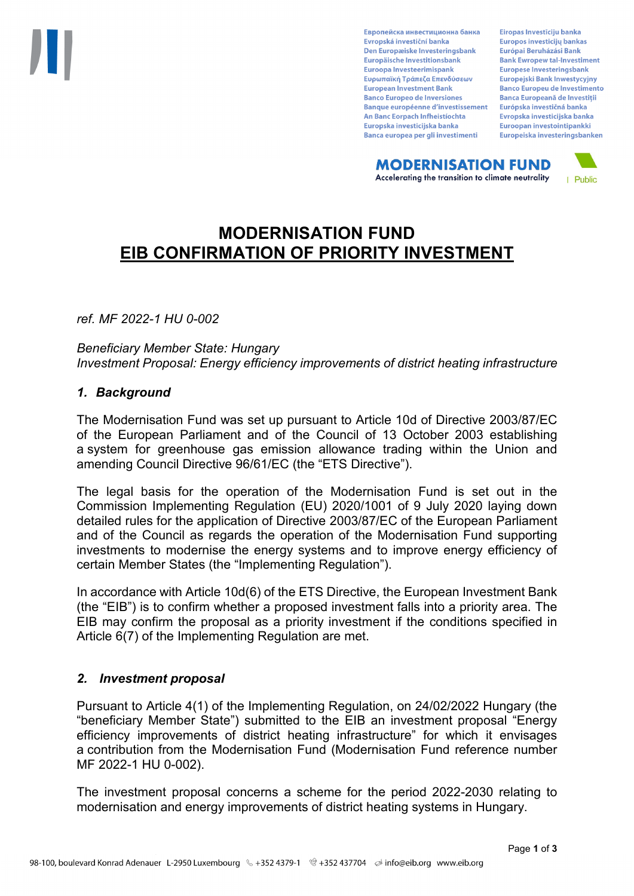Европейска инвестиционна банка Evropská investiční banka Den Europæiske Investeringsbank Europäische Investitionsbank Euroopa Investeerimispank Ευρωπαϊκή Τράπεζα Επενδύσεων **European Investment Bank Banco Europeo de Inversiones Banque européenne d'investissement** An Banc Eorpach Infheistíochta Europska investicijska banka Banca europea per gli investimenti

Eiropas Investīciju banka Europos investicijų bankas Európai Beruházási Bank **Bank Ewropew tal-Investiment** Europese Investeringsbank **Europeiski Bank Inwestycviny Banco Europeu de Investimento Banca Europeană de Investiții** Európska investičná banka Evropska investicijska banka Euroopan investointipankki Europeiska investeringsbanken

**MODERNISATION FUND** Accelerating the transition to climate neutrality



# **MODERNISATION FUND EIB CONFIRMATION OF PRIORITY INVESTMENT**

*ref. MF 2022-1 HU 0-002*

*Beneficiary Member State: Hungary Investment Proposal: Energy efficiency improvements of district heating infrastructure*

#### *1. Background*

The Modernisation Fund was set up pursuant to Article 10d of Directive 2003/87/EC of the European Parliament and of the Council of 13 October 2003 establishing a system for greenhouse gas emission allowance trading within the Union and amending Council Directive 96/61/EC (the "ETS Directive").

The legal basis for the operation of the Modernisation Fund is set out in the Commission Implementing Regulation (EU) 2020/1001 of 9 July 2020 laying down detailed rules for the application of Directive 2003/87/EC of the European Parliament and of the Council as regards the operation of the Modernisation Fund supporting investments to modernise the energy systems and to improve energy efficiency of certain Member States (the "Implementing Regulation").

In accordance with Article 10d(6) of the ETS Directive, the European Investment Bank (the "EIB") is to confirm whether a proposed investment falls into a priority area. The EIB may confirm the proposal as a priority investment if the conditions specified in Article 6(7) of the Implementing Regulation are met.

### *2. Investment proposal*

Pursuant to Article 4(1) of the Implementing Regulation, on 24/02/2022 Hungary (the "beneficiary Member State") submitted to the EIB an investment proposal "Energy efficiency improvements of district heating infrastructure" for which it envisages a contribution from the Modernisation Fund (Modernisation Fund reference number MF 2022-1 HU 0-002).

The investment proposal concerns a scheme for the period 2022-2030 relating to modernisation and energy improvements of district heating systems in Hungary.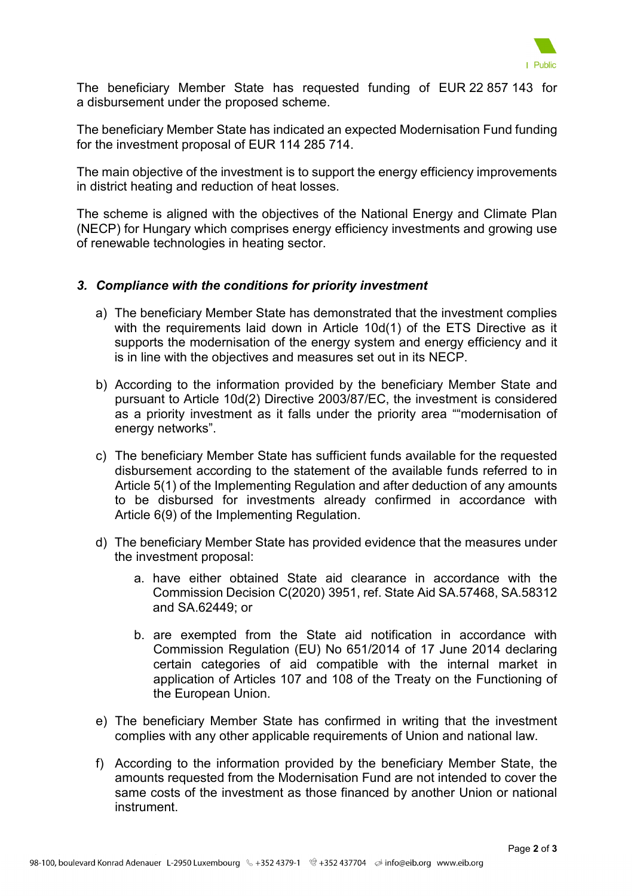

The beneficiary Member State has requested funding of EUR 22 857 143 for a disbursement under the proposed scheme.

The beneficiary Member State has indicated an expected Modernisation Fund funding for the investment proposal of EUR 114 285 714.

The main objective of the investment is to support the energy efficiency improvements in district heating and reduction of heat losses.

The scheme is aligned with the objectives of the National Energy and Climate Plan (NECP) for Hungary which comprises energy efficiency investments and growing use of renewable technologies in heating sector.

### *3. Compliance with the conditions for priority investment*

- a) The beneficiary Member State has demonstrated that the investment complies with the requirements laid down in Article 10d(1) of the ETS Directive as it supports the modernisation of the energy system and energy efficiency and it is in line with the objectives and measures set out in its NECP.
- b) According to the information provided by the beneficiary Member State and pursuant to Article 10d(2) Directive 2003/87/EC, the investment is considered as a priority investment as it falls under the priority area ""modernisation of energy networks".
- c) The beneficiary Member State has sufficient funds available for the requested disbursement according to the statement of the available funds referred to in Article 5(1) of the Implementing Regulation and after deduction of any amounts to be disbursed for investments already confirmed in accordance with Article 6(9) of the Implementing Regulation.
- d) The beneficiary Member State has provided evidence that the measures under the investment proposal:
	- a. have either obtained State aid clearance in accordance with the Commission Decision C(2020) 3951, ref. State Aid SA.57468, SA.58312 and SA.62449; or
	- b. are exempted from the State aid notification in accordance with Commission Regulation (EU) No 651/2014 of 17 June 2014 declaring certain categories of aid compatible with the internal market in application of Articles 107 and 108 of the Treaty on the Functioning of the European Union.
- e) The beneficiary Member State has confirmed in writing that the investment complies with any other applicable requirements of Union and national law.
- f) According to the information provided by the beneficiary Member State, the amounts requested from the Modernisation Fund are not intended to cover the same costs of the investment as those financed by another Union or national instrument.